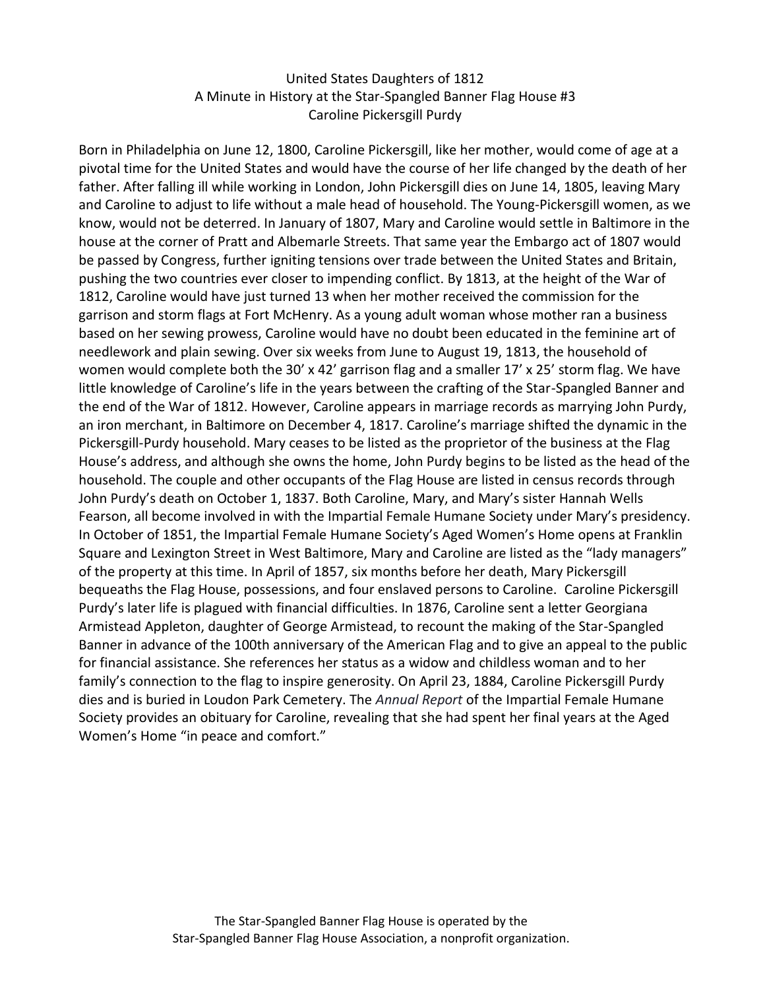## United States Daughters of 1812 A Minute in History at the Star-Spangled Banner Flag House #3 Caroline Pickersgill Purdy

Born in Philadelphia on June 12, 1800, Caroline Pickersgill, like her mother, would come of age at a pivotal time for the United States and would have the course of her life changed by the death of her father. After falling ill while working in London, John Pickersgill dies on June 14, 1805, leaving Mary and Caroline to adjust to life without a male head of household. The Young-Pickersgill women, as we know, would not be deterred. In January of 1807, Mary and Caroline would settle in Baltimore in the house at the corner of Pratt and Albemarle Streets. That same year the Embargo act of 1807 would be passed by Congress, further igniting tensions over trade between the United States and Britain, pushing the two countries ever closer to impending conflict. By 1813, at the height of the War of 1812, Caroline would have just turned 13 when her mother received the commission for the garrison and storm flags at Fort McHenry. As a young adult woman whose mother ran a business based on her sewing prowess, Caroline would have no doubt been educated in the feminine art of needlework and plain sewing. Over six weeks from June to August 19, 1813, the household of women would complete both the 30' x 42' garrison flag and a smaller 17' x 25' storm flag. We have little knowledge of Caroline's life in the years between the crafting of the Star-Spangled Banner and the end of the War of 1812. However, Caroline appears in marriage records as marrying John Purdy, an iron merchant, in Baltimore on December 4, 1817. Caroline's marriage shifted the dynamic in the Pickersgill-Purdy household. Mary ceases to be listed as the proprietor of the business at the Flag House's address, and although she owns the home, John Purdy begins to be listed as the head of the household. The couple and other occupants of the Flag House are listed in census records through John Purdy's death on October 1, 1837. Both Caroline, Mary, and Mary's sister Hannah Wells Fearson, all become involved in with the Impartial Female Humane Society under Mary's presidency. In October of 1851, the Impartial Female Humane Society's Aged Women's Home opens at Franklin Square and Lexington Street in West Baltimore, Mary and Caroline are listed as the "lady managers" of the property at this time. In April of 1857, six months before her death, Mary Pickersgill bequeaths the Flag House, possessions, and four enslaved persons to Caroline. Caroline Pickersgill Purdy's later life is plagued with financial difficulties. In 1876, Caroline sent a letter Georgiana Armistead Appleton, daughter of George Armistead, to recount the making of the Star-Spangled Banner in advance of the 100th anniversary of the American Flag and to give an appeal to the public for financial assistance. She references her status as a widow and childless woman and to her family's connection to the flag to inspire generosity. On April 23, 1884, Caroline Pickersgill Purdy dies and is buried in Loudon Park Cemetery. The *Annual Report* of the Impartial Female Humane Society provides an obituary for Caroline, revealing that she had spent her final years at the Aged Women's Home "in peace and comfort."